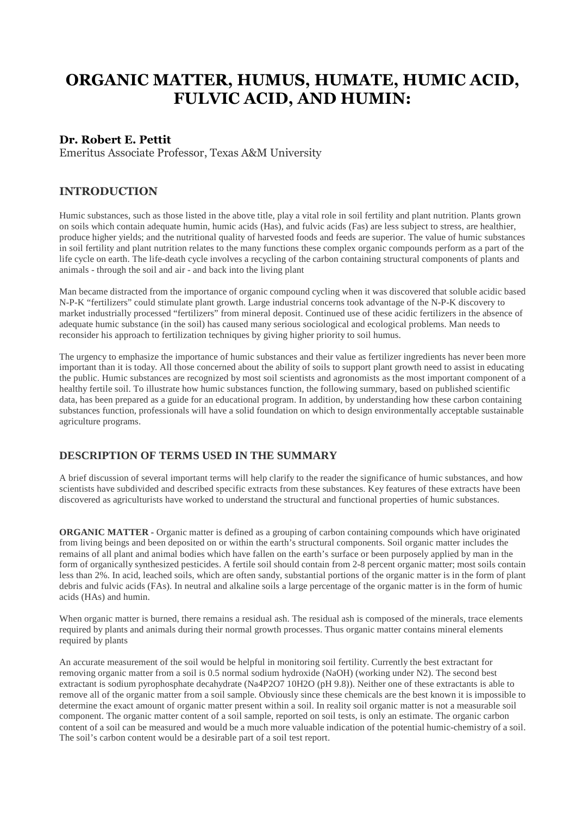# **ORGANIC MATTER, HUMUS, HUMATE, HUMIC ACID, FULVIC ACID, AND HUMIN:**

## **Dr. Robert E. Pettit**

Emeritus Associate Professor, Texas A&M University

#### **INTRODUCTION**

Humic substances, such as those listed in the above title, play a vital role in soil fertility and plant nutrition. Plants grown on soils which contain adequate humin, humic acids (Has), and fulvic acids (Fas) are less subject to stress, are healthier, produce higher yields; and the nutritional quality of harvested foods and feeds are superior. The value of humic substances in soil fertility and plant nutrition relates to the many functions these complex organic compounds perform as a part of the life cycle on earth. The life-death cycle involves a recycling of the carbon containing structural components of plants and animals - through the soil and air - and back into the living plant

Man became distracted from the importance of organic compound cycling when it was discovered that soluble acidic based N-P-K "fertilizers" could stimulate plant growth. Large industrial concerns took advantage of the N-P-K discovery to market industrially processed "fertilizers" from mineral deposit. Continued use of these acidic fertilizers in the absence of adequate humic substance (in the soil) has caused many serious sociological and ecological problems. Man needs to reconsider his approach to fertilization techniques by giving higher priority to soil humus.

The urgency to emphasize the importance of humic substances and their value as fertilizer ingredients has never been more important than it is today. All those concerned about the ability of soils to support plant growth need to assist in educating the public. Humic substances are recognized by most soil scientists and agronomists as the most important component of a healthy fertile soil. To illustrate how humic substances function, the following summary, based on published scientific data, has been prepared as a guide for an educational program. In addition, by understanding how these carbon containing substances function, professionals will have a solid foundation on which to design environmentally acceptable sustainable agriculture programs.

#### **DESCRIPTION OF TERMS USED IN THE SUMMARY**

A brief discussion of several important terms will help clarify to the reader the significance of humic substances, and how scientists have subdivided and described specific extracts from these substances. Key features of these extracts have been discovered as agriculturists have worked to understand the structural and functional properties of humic substances.

**ORGANIC MATTER -** Organic matter is defined as a grouping of carbon containing compounds which have originated from living beings and been deposited on or within the earth's structural components. Soil organic matter includes the remains of all plant and animal bodies which have fallen on the earth's surface or been purposely applied by man in the form of organically synthesized pesticides. A fertile soil should contain from 2-8 percent organic matter; most soils contain less than 2%. In acid, leached soils, which are often sandy, substantial portions of the organic matter is in the form of plant debris and fulvic acids (FAs). In neutral and alkaline soils a large percentage of the organic matter is in the form of humic acids (HAs) and humin.

When organic matter is burned, there remains a residual ash. The residual ash is composed of the minerals, trace elements required by plants and animals during their normal growth processes. Thus organic matter contains mineral elements required by plants

An accurate measurement of the soil would be helpful in monitoring soil fertility. Currently the best extractant for removing organic matter from a soil is 0.5 normal sodium hydroxide (NaOH) (working under N2). The second best extractant is sodium pyrophosphate decahydrate (Na4P2O7 10H2O (pH 9.8)). Neither one of these extractants is able to remove all of the organic matter from a soil sample. Obviously since these chemicals are the best known it is impossible to determine the exact amount of organic matter present within a soil. In reality soil organic matter is not a measurable soil component. The organic matter content of a soil sample, reported on soil tests, is only an estimate. The organic carbon content of a soil can be measured and would be a much more valuable indication of the potential humic-chemistry of a soil. The soil's carbon content would be a desirable part of a soil test report.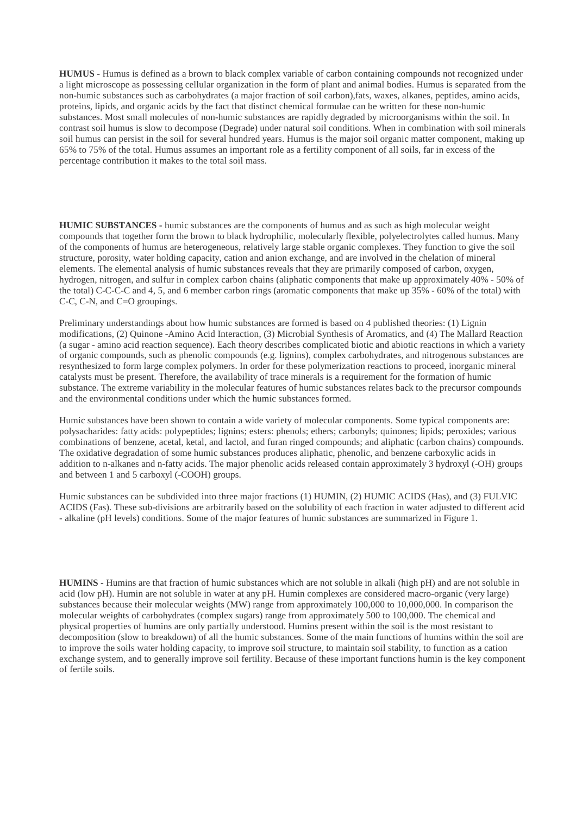**HUMUS -** Humus is defined as a brown to black complex variable of carbon containing compounds not recognized under a light microscope as possessing cellular organization in the form of plant and animal bodies. Humus is separated from the non-humic substances such as carbohydrates (a major fraction of soil carbon),fats, waxes, alkanes, peptides, amino acids, proteins, lipids, and organic acids by the fact that distinct chemical formulae can be written for these non-humic substances. Most small molecules of non-humic substances are rapidly degraded by microorganisms within the soil. In contrast soil humus is slow to decompose (Degrade) under natural soil conditions. When in combination with soil minerals soil humus can persist in the soil for several hundred years. Humus is the major soil organic matter component, making up 65% to 75% of the total. Humus assumes an important role as a fertility component of all soils, far in excess of the percentage contribution it makes to the total soil mass.

**HUMIC SUBSTANCES -** humic substances are the components of humus and as such as high molecular weight compounds that together form the brown to black hydrophilic, molecularly flexible, polyelectrolytes called humus. Many of the components of humus are heterogeneous, relatively large stable organic complexes. They function to give the soil structure, porosity, water holding capacity, cation and anion exchange, and are involved in the chelation of mineral elements. The elemental analysis of humic substances reveals that they are primarily composed of carbon, oxygen, hydrogen, nitrogen, and sulfur in complex carbon chains (aliphatic components that make up approximately 40% - 50% of the total) C-C-C-C and 4, 5, and 6 member carbon rings (aromatic components that make up 35% - 60% of the total) with C-C, C-N, and C=O groupings.

Preliminary understandings about how humic substances are formed is based on 4 published theories: (1) Lignin modifications, (2) Quinone -Amino Acid Interaction, (3) Microbial Synthesis of Aromatics, and (4) The Mallard Reaction (a sugar - amino acid reaction sequence). Each theory describes complicated biotic and abiotic reactions in which a variety of organic compounds, such as phenolic compounds (e.g. lignins), complex carbohydrates, and nitrogenous substances are resynthesized to form large complex polymers. In order for these polymerization reactions to proceed, inorganic mineral catalysts must be present. Therefore, the availability of trace minerals is a requirement for the formation of humic substance. The extreme variability in the molecular features of humic substances relates back to the precursor compounds and the environmental conditions under which the humic substances formed.

Humic substances have been shown to contain a wide variety of molecular components. Some typical components are: polysacharides: fatty acids: polypeptides; lignins; esters: phenols; ethers; carbonyls; quinones; lipids; peroxides; various combinations of benzene, acetal, ketal, and lactol, and furan ringed compounds; and aliphatic (carbon chains) compounds. The oxidative degradation of some humic substances produces aliphatic, phenolic, and benzene carboxylic acids in addition to n-alkanes and n-fatty acids. The major phenolic acids released contain approximately 3 hydroxyl (-OH) groups and between 1 and 5 carboxyl (-COOH) groups.

Humic substances can be subdivided into three major fractions (1) HUMIN, (2) HUMIC ACIDS (Has), and (3) FULVIC ACIDS (Fas). These sub-divisions are arbitrarily based on the solubility of each fraction in water adjusted to different acid - alkaline (pH levels) conditions. Some of the major features of humic substances are summarized in Figure 1.

**HUMINS -** Humins are that fraction of humic substances which are not soluble in alkali (high pH) and are not soluble in acid (low pH). Humin are not soluble in water at any pH. Humin complexes are considered macro-organic (very large) substances because their molecular weights (MW) range from approximately 100,000 to 10,000,000. In comparison the molecular weights of carbohydrates (complex sugars) range from approximately 500 to 100,000. The chemical and physical properties of humins are only partially understood. Humins present within the soil is the most resistant to decomposition (slow to breakdown) of all the humic substances. Some of the main functions of humins within the soil are to improve the soils water holding capacity, to improve soil structure, to maintain soil stability, to function as a cation exchange system, and to generally improve soil fertility. Because of these important functions humin is the key component of fertile soils.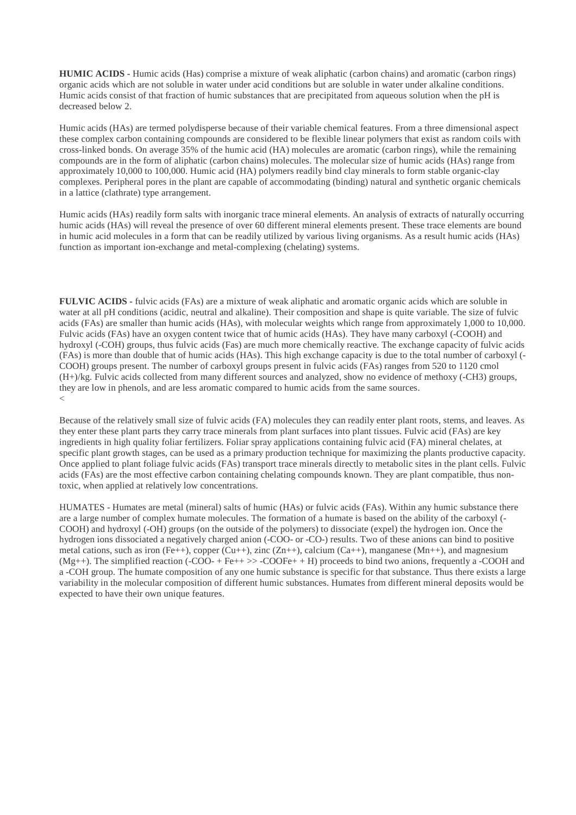**HUMIC ACIDS -** Humic acids (Has) comprise a mixture of weak aliphatic (carbon chains) and aromatic (carbon rings) organic acids which are not soluble in water under acid conditions but are soluble in water under alkaline conditions. Humic acids consist of that fraction of humic substances that are precipitated from aqueous solution when the pH is decreased below 2.

Humic acids (HAs) are termed polydisperse because of their variable chemical features. From a three dimensional aspect these complex carbon containing compounds are considered to be flexible linear polymers that exist as random coils with cross-linked bonds. On average 35% of the humic acid (HA) molecules are aromatic (carbon rings), while the remaining compounds are in the form of aliphatic (carbon chains) molecules. The molecular size of humic acids (HAs) range from approximately 10,000 to 100,000. Humic acid (HA) polymers readily bind clay minerals to form stable organic-clay complexes. Peripheral pores in the plant are capable of accommodating (binding) natural and synthetic organic chemicals in a lattice (clathrate) type arrangement.

Humic acids (HAs) readily form salts with inorganic trace mineral elements. An analysis of extracts of naturally occurring humic acids (HAs) will reveal the presence of over 60 different mineral elements present. These trace elements are bound in humic acid molecules in a form that can be readily utilized by various living organisms. As a result humic acids (HAs) function as important ion-exchange and metal-complexing (chelating) systems.

**FULVIC ACIDS -** fulvic acids (FAs) are a mixture of weak aliphatic and aromatic organic acids which are soluble in water at all pH conditions (acidic, neutral and alkaline). Their composition and shape is quite variable. The size of fulvic acids (FAs) are smaller than humic acids (HAs), with molecular weights which range from approximately 1,000 to 10,000. Fulvic acids (FAs) have an oxygen content twice that of humic acids (HAs). They have many carboxyl (-COOH) and hydroxyl (-COH) groups, thus fulvic acids (Fas) are much more chemically reactive. The exchange capacity of fulvic acids (FAs) is more than double that of humic acids (HAs). This high exchange capacity is due to the total number of carboxyl (- COOH) groups present. The number of carboxyl groups present in fulvic acids (FAs) ranges from 520 to 1120 cmol (H+)/kg. Fulvic acids collected from many different sources and analyzed, show no evidence of methoxy (-CH3) groups, they are low in phenols, and are less aromatic compared to humic acids from the same sources.  $\overline{<}$ 

Because of the relatively small size of fulvic acids (FA) molecules they can readily enter plant roots, stems, and leaves. As they enter these plant parts they carry trace minerals from plant surfaces into plant tissues. Fulvic acid (FAs) are key ingredients in high quality foliar fertilizers. Foliar spray applications containing fulvic acid (FA) mineral chelates, at specific plant growth stages, can be used as a primary production technique for maximizing the plants productive capacity. Once applied to plant foliage fulvic acids (FAs) transport trace minerals directly to metabolic sites in the plant cells. Fulvic acids (FAs) are the most effective carbon containing chelating compounds known. They are plant compatible, thus nontoxic, when applied at relatively low concentrations.

HUMATES - Humates are metal (mineral) salts of humic (HAs) or fulvic acids (FAs). Within any humic substance there are a large number of complex humate molecules. The formation of a humate is based on the ability of the carboxyl (- COOH) and hydroxyl (-OH) groups (on the outside of the polymers) to dissociate (expel) the hydrogen ion. Once the hydrogen ions dissociated a negatively charged anion (-COO- or -CO-) results. Two of these anions can bind to positive metal cations, such as iron (Fe++), copper (Cu++), zinc (Zn++), calcium (Ca++), manganese (Mn++), and magnesium  $(Mg++)$ . The simplified reaction (-COO- + Fe++ >> -COOFe+ + H) proceeds to bind two anions, frequently a -COOH and a -COH group. The humate composition of any one humic substance is specific for that substance. Thus there exists a large variability in the molecular composition of different humic substances. Humates from different mineral deposits would be expected to have their own unique features.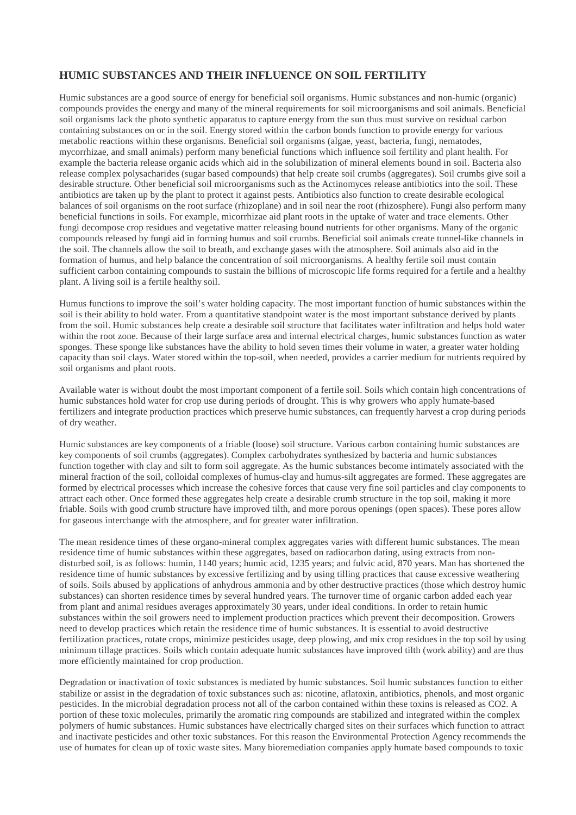## **HUMIC SUBSTANCES AND THEIR INFLUENCE ON SOIL FERTILITY**

Humic substances are a good source of energy for beneficial soil organisms. Humic substances and non-humic (organic) compounds provides the energy and many of the mineral requirements for soil microorganisms and soil animals. Beneficial soil organisms lack the photo synthetic apparatus to capture energy from the sun thus must survive on residual carbon containing substances on or in the soil. Energy stored within the carbon bonds function to provide energy for various metabolic reactions within these organisms. Beneficial soil organisms (algae, yeast, bacteria, fungi, nematodes, mycorrhizae, and small animals) perform many beneficial functions which influence soil fertility and plant health. For example the bacteria release organic acids which aid in the solubilization of mineral elements bound in soil. Bacteria also release complex polysacharides (sugar based compounds) that help create soil crumbs (aggregates). Soil crumbs give soil a desirable structure. Other beneficial soil microorganisms such as the Actinomyces release antibiotics into the soil. These antibiotics are taken up by the plant to protect it against pests. Antibiotics also function to create desirable ecological balances of soil organisms on the root surface (rhizoplane) and in soil near the root (rhizosphere). Fungi also perform many beneficial functions in soils. For example, micorrhizae aid plant roots in the uptake of water and trace elements. Other fungi decompose crop residues and vegetative matter releasing bound nutrients for other organisms. Many of the organic compounds released by fungi aid in forming humus and soil crumbs. Beneficial soil animals create tunnel-like channels in the soil. The channels allow the soil to breath, and exchange gases with the atmosphere. Soil animals also aid in the formation of humus, and help balance the concentration of soil microorganisms. A healthy fertile soil must contain sufficient carbon containing compounds to sustain the billions of microscopic life forms required for a fertile and a healthy plant. A living soil is a fertile healthy soil.

Humus functions to improve the soil's water holding capacity. The most important function of humic substances within the soil is their ability to hold water. From a quantitative standpoint water is the most important substance derived by plants from the soil. Humic substances help create a desirable soil structure that facilitates water infiltration and helps hold water within the root zone. Because of their large surface area and internal electrical charges, humic substances function as water sponges. These sponge like substances have the ability to hold seven times their volume in water, a greater water holding capacity than soil clays. Water stored within the top-soil, when needed, provides a carrier medium for nutrients required by soil organisms and plant roots.

Available water is without doubt the most important component of a fertile soil. Soils which contain high concentrations of humic substances hold water for crop use during periods of drought. This is why growers who apply humate-based fertilizers and integrate production practices which preserve humic substances, can frequently harvest a crop during periods of dry weather.

Humic substances are key components of a friable (loose) soil structure. Various carbon containing humic substances are key components of soil crumbs (aggregates). Complex carbohydrates synthesized by bacteria and humic substances function together with clay and silt to form soil aggregate. As the humic substances become intimately associated with the mineral fraction of the soil, colloidal complexes of humus-clay and humus-silt aggregates are formed. These aggregates are formed by electrical processes which increase the cohesive forces that cause very fine soil particles and clay components to attract each other. Once formed these aggregates help create a desirable crumb structure in the top soil, making it more friable. Soils with good crumb structure have improved tilth, and more porous openings (open spaces). These pores allow for gaseous interchange with the atmosphere, and for greater water infiltration.

The mean residence times of these organo-mineral complex aggregates varies with different humic substances. The mean residence time of humic substances within these aggregates, based on radiocarbon dating, using extracts from nondisturbed soil, is as follows: humin, 1140 years; humic acid, 1235 years; and fulvic acid, 870 years. Man has shortened the residence time of humic substances by excessive fertilizing and by using tilling practices that cause excessive weathering of soils. Soils abused by applications of anhydrous ammonia and by other destructive practices (those which destroy humic substances) can shorten residence times by several hundred years. The turnover time of organic carbon added each year from plant and animal residues averages approximately 30 years, under ideal conditions. In order to retain humic substances within the soil growers need to implement production practices which prevent their decomposition. Growers need to develop practices which retain the residence time of humic substances. It is essential to avoid destructive fertilization practices, rotate crops, minimize pesticides usage, deep plowing, and mix crop residues in the top soil by using minimum tillage practices. Soils which contain adequate humic substances have improved tilth (work ability) and are thus more efficiently maintained for crop production.

Degradation or inactivation of toxic substances is mediated by humic substances. Soil humic substances function to either stabilize or assist in the degradation of toxic substances such as: nicotine, aflatoxin, antibiotics, phenols, and most organic pesticides. In the microbial degradation process not all of the carbon contained within these toxins is released as CO2. A portion of these toxic molecules, primarily the aromatic ring compounds are stabilized and integrated within the complex polymers of humic substances. Humic substances have electrically charged sites on their surfaces which function to attract and inactivate pesticides and other toxic substances. For this reason the Environmental Protection Agency recommends the use of humates for clean up of toxic waste sites. Many bioremediation companies apply humate based compounds to toxic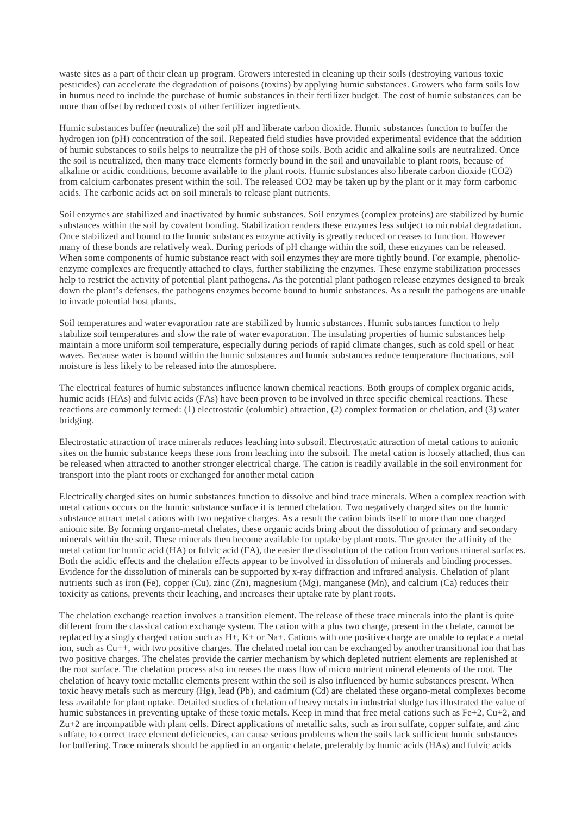waste sites as a part of their clean up program. Growers interested in cleaning up their soils (destroying various toxic pesticides) can accelerate the degradation of poisons (toxins) by applying humic substances. Growers who farm soils low in humus need to include the purchase of humic substances in their fertilizer budget. The cost of humic substances can be more than offset by reduced costs of other fertilizer ingredients.

Humic substances buffer (neutralize) the soil pH and liberate carbon dioxide. Humic substances function to buffer the hydrogen ion (pH) concentration of the soil. Repeated field studies have provided experimental evidence that the addition of humic substances to soils helps to neutralize the pH of those soils. Both acidic and alkaline soils are neutralized. Once the soil is neutralized, then many trace elements formerly bound in the soil and unavailable to plant roots, because of alkaline or acidic conditions, become available to the plant roots. Humic substances also liberate carbon dioxide (CO2) from calcium carbonates present within the soil. The released CO2 may be taken up by the plant or it may form carbonic acids. The carbonic acids act on soil minerals to release plant nutrients.

Soil enzymes are stabilized and inactivated by humic substances. Soil enzymes (complex proteins) are stabilized by humic substances within the soil by covalent bonding. Stabilization renders these enzymes less subject to microbial degradation. Once stabilized and bound to the humic substances enzyme activity is greatly reduced or ceases to function. However many of these bonds are relatively weak. During periods of pH change within the soil, these enzymes can be released. When some components of humic substance react with soil enzymes they are more tightly bound. For example, phenolicenzyme complexes are frequently attached to clays, further stabilizing the enzymes. These enzyme stabilization processes help to restrict the activity of potential plant pathogens. As the potential plant pathogen release enzymes designed to break down the plant's defenses, the pathogens enzymes become bound to humic substances. As a result the pathogens are unable to invade potential host plants.

Soil temperatures and water evaporation rate are stabilized by humic substances. Humic substances function to help stabilize soil temperatures and slow the rate of water evaporation. The insulating properties of humic substances help maintain a more uniform soil temperature, especially during periods of rapid climate changes, such as cold spell or heat waves. Because water is bound within the humic substances and humic substances reduce temperature fluctuations, soil moisture is less likely to be released into the atmosphere.

The electrical features of humic substances influence known chemical reactions. Both groups of complex organic acids, humic acids (HAs) and fulvic acids (FAs) have been proven to be involved in three specific chemical reactions. These reactions are commonly termed: (1) electrostatic (columbic) attraction, (2) complex formation or chelation, and (3) water bridging.

Electrostatic attraction of trace minerals reduces leaching into subsoil. Electrostatic attraction of metal cations to anionic sites on the humic substance keeps these ions from leaching into the subsoil. The metal cation is loosely attached, thus can be released when attracted to another stronger electrical charge. The cation is readily available in the soil environment for transport into the plant roots or exchanged for another metal cation

Electrically charged sites on humic substances function to dissolve and bind trace minerals. When a complex reaction with metal cations occurs on the humic substance surface it is termed chelation. Two negatively charged sites on the humic substance attract metal cations with two negative charges. As a result the cation binds itself to more than one charged anionic site. By forming organo-metal chelates, these organic acids bring about the dissolution of primary and secondary minerals within the soil. These minerals then become available for uptake by plant roots. The greater the affinity of the metal cation for humic acid (HA) or fulvic acid (FA), the easier the dissolution of the cation from various mineral surfaces. Both the acidic effects and the chelation effects appear to be involved in dissolution of minerals and binding processes. Evidence for the dissolution of minerals can be supported by x-ray diffraction and infrared analysis. Chelation of plant nutrients such as iron (Fe), copper (Cu), zinc (Zn), magnesium (Mg), manganese (Mn), and calcium (Ca) reduces their toxicity as cations, prevents their leaching, and increases their uptake rate by plant roots.

The chelation exchange reaction involves a transition element. The release of these trace minerals into the plant is quite different from the classical cation exchange system. The cation with a plus two charge, present in the chelate, cannot be replaced by a singly charged cation such as  $H_+$ ,  $K_+$  or Na+. Cations with one positive charge are unable to replace a metal ion, such as Cu++, with two positive charges. The chelated metal ion can be exchanged by another transitional ion that has two positive charges. The chelates provide the carrier mechanism by which depleted nutrient elements are replenished at the root surface. The chelation process also increases the mass flow of micro nutrient mineral elements of the root. The chelation of heavy toxic metallic elements present within the soil is also influenced by humic substances present. When toxic heavy metals such as mercury (Hg), lead (Pb), and cadmium (Cd) are chelated these organo-metal complexes become less available for plant uptake. Detailed studies of chelation of heavy metals in industrial sludge has illustrated the value of humic substances in preventing uptake of these toxic metals. Keep in mind that free metal cations such as Fe+2, Cu+2, and Zu+2 are incompatible with plant cells. Direct applications of metallic salts, such as iron sulfate, copper sulfate, and zinc sulfate, to correct trace element deficiencies, can cause serious problems when the soils lack sufficient humic substances for buffering. Trace minerals should be applied in an organic chelate, preferably by humic acids (HAs) and fulvic acids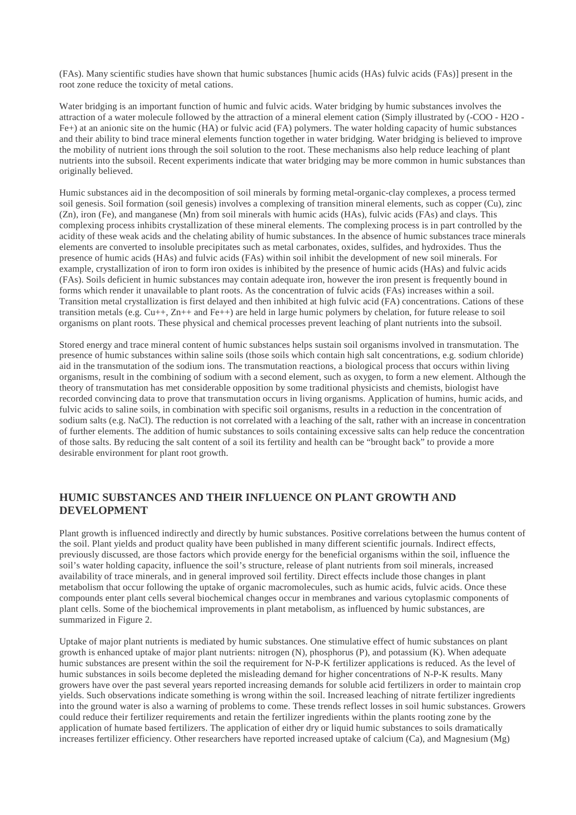(FAs). Many scientific studies have shown that humic substances [humic acids (HAs) fulvic acids (FAs)] present in the root zone reduce the toxicity of metal cations.

Water bridging is an important function of humic and fulvic acids. Water bridging by humic substances involves the attraction of a water molecule followed by the attraction of a mineral element cation (Simply illustrated by (-COO - H2O - Fe+) at an anionic site on the humic (HA) or fulvic acid (FA) polymers. The water holding capacity of humic substances and their ability to bind trace mineral elements function together in water bridging. Water bridging is believed to improve the mobility of nutrient ions through the soil solution to the root. These mechanisms also help reduce leaching of plant nutrients into the subsoil. Recent experiments indicate that water bridging may be more common in humic substances than originally believed.

Humic substances aid in the decomposition of soil minerals by forming metal-organic-clay complexes, a process termed soil genesis. Soil formation (soil genesis) involves a complexing of transition mineral elements, such as copper (Cu), zinc (Zn), iron (Fe), and manganese (Mn) from soil minerals with humic acids (HAs), fulvic acids (FAs) and clays. This complexing process inhibits crystallization of these mineral elements. The complexing process is in part controlled by the acidity of these weak acids and the chelating ability of humic substances. In the absence of humic substances trace minerals elements are converted to insoluble precipitates such as metal carbonates, oxides, sulfides, and hydroxides. Thus the presence of humic acids (HAs) and fulvic acids (FAs) within soil inhibit the development of new soil minerals. For example, crystallization of iron to form iron oxides is inhibited by the presence of humic acids (HAs) and fulvic acids (FAs). Soils deficient in humic substances may contain adequate iron, however the iron present is frequently bound in forms which render it unavailable to plant roots. As the concentration of fulvic acids (FAs) increases within a soil. Transition metal crystallization is first delayed and then inhibited at high fulvic acid (FA) concentrations. Cations of these transition metals (e.g. Cu++, Zn++ and Fe++) are held in large humic polymers by chelation, for future release to soil organisms on plant roots. These physical and chemical processes prevent leaching of plant nutrients into the subsoil.

Stored energy and trace mineral content of humic substances helps sustain soil organisms involved in transmutation. The presence of humic substances within saline soils (those soils which contain high salt concentrations, e.g. sodium chloride) aid in the transmutation of the sodium ions. The transmutation reactions, a biological process that occurs within living organisms, result in the combining of sodium with a second element, such as oxygen, to form a new element. Although the theory of transmutation has met considerable opposition by some traditional physicists and chemists, biologist have recorded convincing data to prove that transmutation occurs in living organisms. Application of humins, humic acids, and fulvic acids to saline soils, in combination with specific soil organisms, results in a reduction in the concentration of sodium salts (e.g. NaCl). The reduction is not correlated with a leaching of the salt, rather with an increase in concentration of further elements. The addition of humic substances to soils containing excessive salts can help reduce the concentration of those salts. By reducing the salt content of a soil its fertility and health can be "brought back" to provide a more desirable environment for plant root growth.

#### **HUMIC SUBSTANCES AND THEIR INFLUENCE ON PLANT GROWTH AND DEVELOPMENT**

Plant growth is influenced indirectly and directly by humic substances. Positive correlations between the humus content of the soil. Plant yields and product quality have been published in many different scientific journals. Indirect effects, previously discussed, are those factors which provide energy for the beneficial organisms within the soil, influence the soil's water holding capacity, influence the soil's structure, release of plant nutrients from soil minerals, increased availability of trace minerals, and in general improved soil fertility. Direct effects include those changes in plant metabolism that occur following the uptake of organic macromolecules, such as humic acids, fulvic acids. Once these compounds enter plant cells several biochemical changes occur in membranes and various cytoplasmic components of plant cells. Some of the biochemical improvements in plant metabolism, as influenced by humic substances, are summarized in Figure 2.

Uptake of major plant nutrients is mediated by humic substances. One stimulative effect of humic substances on plant growth is enhanced uptake of major plant nutrients: nitrogen (N), phosphorus (P), and potassium (K). When adequate humic substances are present within the soil the requirement for N-P-K fertilizer applications is reduced. As the level of humic substances in soils become depleted the misleading demand for higher concentrations of N-P-K results. Many growers have over the past several years reported increasing demands for soluble acid fertilizers in order to maintain crop yields. Such observations indicate something is wrong within the soil. Increased leaching of nitrate fertilizer ingredients into the ground water is also a warning of problems to come. These trends reflect losses in soil humic substances. Growers could reduce their fertilizer requirements and retain the fertilizer ingredients within the plants rooting zone by the application of humate based fertilizers. The application of either dry or liquid humic substances to soils dramatically increases fertilizer efficiency. Other researchers have reported increased uptake of calcium (Ca), and Magnesium (Mg)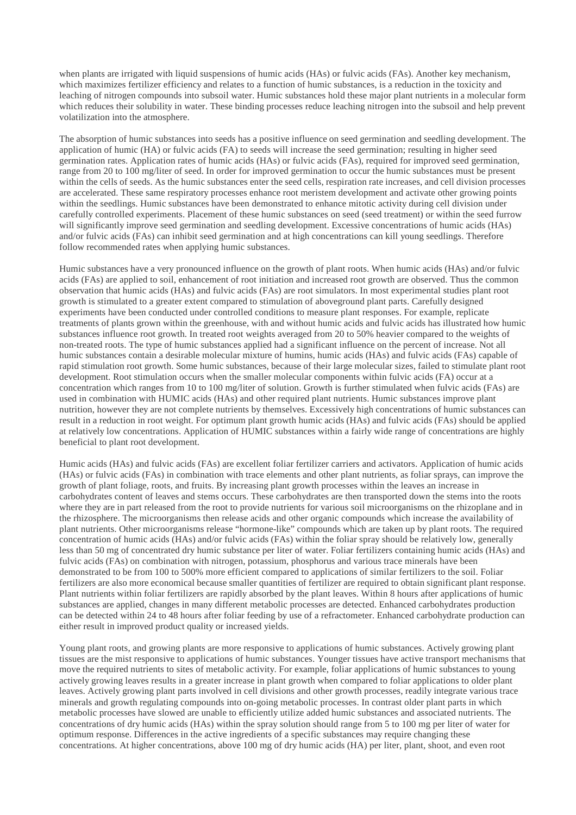when plants are irrigated with liquid suspensions of humic acids (HAs) or fulvic acids (FAs). Another key mechanism, which maximizes fertilizer efficiency and relates to a function of humic substances, is a reduction in the toxicity and leaching of nitrogen compounds into subsoil water. Humic substances hold these major plant nutrients in a molecular form which reduces their solubility in water. These binding processes reduce leaching nitrogen into the subsoil and help prevent volatilization into the atmosphere.

The absorption of humic substances into seeds has a positive influence on seed germination and seedling development. The application of humic (HA) or fulvic acids (FA) to seeds will increase the seed germination; resulting in higher seed germination rates. Application rates of humic acids (HAs) or fulvic acids (FAs), required for improved seed germination, range from 20 to 100 mg/liter of seed. In order for improved germination to occur the humic substances must be present within the cells of seeds. As the humic substances enter the seed cells, respiration rate increases, and cell division processes are accelerated. These same respiratory processes enhance root meristem development and activate other growing points within the seedlings. Humic substances have been demonstrated to enhance mitotic activity during cell division under carefully controlled experiments. Placement of these humic substances on seed (seed treatment) or within the seed furrow will significantly improve seed germination and seedling development. Excessive concentrations of humic acids (HAs) and/or fulvic acids (FAs) can inhibit seed germination and at high concentrations can kill young seedlings. Therefore follow recommended rates when applying humic substances.

Humic substances have a very pronounced influence on the growth of plant roots. When humic acids (HAs) and/or fulvic acids (FAs) are applied to soil, enhancement of root initiation and increased root growth are observed. Thus the common observation that humic acids (HAs) and fulvic acids (FAs) are root simulators. In most experimental studies plant root growth is stimulated to a greater extent compared to stimulation of aboveground plant parts. Carefully designed experiments have been conducted under controlled conditions to measure plant responses. For example, replicate treatments of plants grown within the greenhouse, with and without humic acids and fulvic acids has illustrated how humic substances influence root growth. In treated root weights averaged from 20 to 50% heavier compared to the weights of non-treated roots. The type of humic substances applied had a significant influence on the percent of increase. Not all humic substances contain a desirable molecular mixture of humins, humic acids (HAs) and fulvic acids (FAs) capable of rapid stimulation root growth. Some humic substances, because of their large molecular sizes, failed to stimulate plant root development. Root stimulation occurs when the smaller molecular components within fulvic acids (FA) occur at a concentration which ranges from 10 to 100 mg/liter of solution. Growth is further stimulated when fulvic acids (FAs) are used in combination with HUMIC acids (HAs) and other required plant nutrients. Humic substances improve plant nutrition, however they are not complete nutrients by themselves. Excessively high concentrations of humic substances can result in a reduction in root weight. For optimum plant growth humic acids (HAs) and fulvic acids (FAs) should be applied at relatively low concentrations. Application of HUMIC substances within a fairly wide range of concentrations are highly beneficial to plant root development.

Humic acids (HAs) and fulvic acids (FAs) are excellent foliar fertilizer carriers and activators. Application of humic acids (HAs) or fulvic acids (FAs) in combination with trace elements and other plant nutrients, as foliar sprays, can improve the growth of plant foliage, roots, and fruits. By increasing plant growth processes within the leaves an increase in carbohydrates content of leaves and stems occurs. These carbohydrates are then transported down the stems into the roots where they are in part released from the root to provide nutrients for various soil microorganisms on the rhizoplane and in the rhizosphere. The microorganisms then release acids and other organic compounds which increase the availability of plant nutrients. Other microorganisms release "hormone-like" compounds which are taken up by plant roots. The required concentration of humic acids (HAs) and/or fulvic acids (FAs) within the foliar spray should be relatively low, generally less than 50 mg of concentrated dry humic substance per liter of water. Foliar fertilizers containing humic acids (HAs) and fulvic acids (FAs) on combination with nitrogen, potassium, phosphorus and various trace minerals have been demonstrated to be from 100 to 500% more efficient compared to applications of similar fertilizers to the soil. Foliar fertilizers are also more economical because smaller quantities of fertilizer are required to obtain significant plant response. Plant nutrients within foliar fertilizers are rapidly absorbed by the plant leaves. Within 8 hours after applications of humic substances are applied, changes in many different metabolic processes are detected. Enhanced carbohydrates production can be detected within 24 to 48 hours after foliar feeding by use of a refractometer. Enhanced carbohydrate production can either result in improved product quality or increased yields.

Young plant roots, and growing plants are more responsive to applications of humic substances. Actively growing plant tissues are the mist responsive to applications of humic substances. Younger tissues have active transport mechanisms that move the required nutrients to sites of metabolic activity. For example, foliar applications of humic substances to young actively growing leaves results in a greater increase in plant growth when compared to foliar applications to older plant leaves. Actively growing plant parts involved in cell divisions and other growth processes, readily integrate various trace minerals and growth regulating compounds into on-going metabolic processes. In contrast older plant parts in which metabolic processes have slowed are unable to efficiently utilize added humic substances and associated nutrients. The concentrations of dry humic acids (HAs) within the spray solution should range from 5 to 100 mg per liter of water for optimum response. Differences in the active ingredients of a specific substances may require changing these concentrations. At higher concentrations, above 100 mg of dry humic acids (HA) per liter, plant, shoot, and even root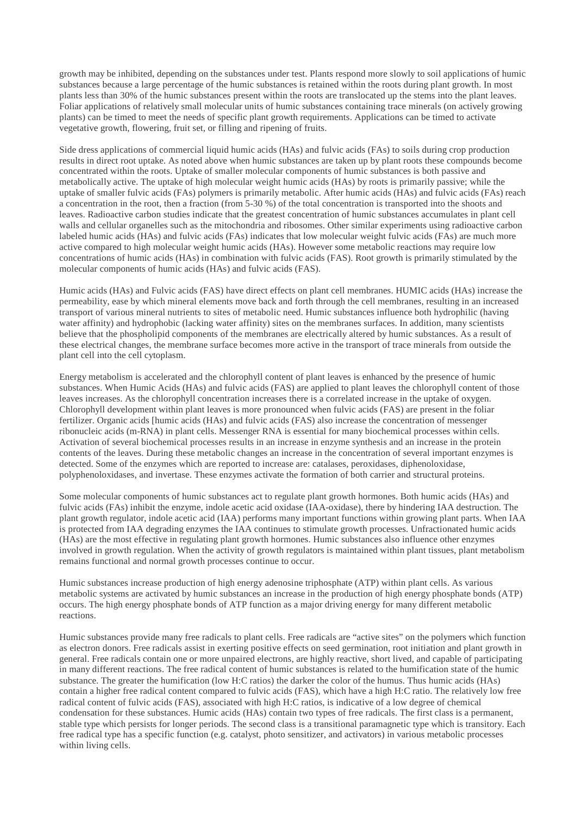growth may be inhibited, depending on the substances under test. Plants respond more slowly to soil applications of humic substances because a large percentage of the humic substances is retained within the roots during plant growth. In most plants less than 30% of the humic substances present within the roots are translocated up the stems into the plant leaves. Foliar applications of relatively small molecular units of humic substances containing trace minerals (on actively growing plants) can be timed to meet the needs of specific plant growth requirements. Applications can be timed to activate vegetative growth, flowering, fruit set, or filling and ripening of fruits.

Side dress applications of commercial liquid humic acids (HAs) and fulvic acids (FAs) to soils during crop production results in direct root uptake. As noted above when humic substances are taken up by plant roots these compounds become concentrated within the roots. Uptake of smaller molecular components of humic substances is both passive and metabolically active. The uptake of high molecular weight humic acids (HAs) by roots is primarily passive; while the uptake of smaller fulvic acids (FAs) polymers is primarily metabolic. After humic acids (HAs) and fulvic acids (FAs) reach a concentration in the root, then a fraction (from 5-30 %) of the total concentration is transported into the shoots and leaves. Radioactive carbon studies indicate that the greatest concentration of humic substances accumulates in plant cell walls and cellular organelles such as the mitochondria and ribosomes. Other similar experiments using radioactive carbon labeled humic acids (HAs) and fulvic acids (FAs) indicates that low molecular weight fulvic acids (FAs) are much more active compared to high molecular weight humic acids (HAs). However some metabolic reactions may require low concentrations of humic acids (HAs) in combination with fulvic acids (FAS). Root growth is primarily stimulated by the molecular components of humic acids (HAs) and fulvic acids (FAS).

Humic acids (HAs) and Fulvic acids (FAS) have direct effects on plant cell membranes. HUMIC acids (HAs) increase the permeability, ease by which mineral elements move back and forth through the cell membranes, resulting in an increased transport of various mineral nutrients to sites of metabolic need. Humic substances influence both hydrophilic (having water affinity) and hydrophobic (lacking water affinity) sites on the membranes surfaces. In addition, many scientists believe that the phospholipid components of the membranes are electrically altered by humic substances. As a result of these electrical changes, the membrane surface becomes more active in the transport of trace minerals from outside the plant cell into the cell cytoplasm.

Energy metabolism is accelerated and the chlorophyll content of plant leaves is enhanced by the presence of humic substances. When Humic Acids (HAs) and fulvic acids (FAS) are applied to plant leaves the chlorophyll content of those leaves increases. As the chlorophyll concentration increases there is a correlated increase in the uptake of oxygen. Chlorophyll development within plant leaves is more pronounced when fulvic acids (FAS) are present in the foliar fertilizer. Organic acids [humic acids (HAs) and fulvic acids (FAS) also increase the concentration of messenger ribonucleic acids (m-RNA) in plant cells. Messenger RNA is essential for many biochemical processes within cells. Activation of several biochemical processes results in an increase in enzyme synthesis and an increase in the protein contents of the leaves. During these metabolic changes an increase in the concentration of several important enzymes is detected. Some of the enzymes which are reported to increase are: catalases, peroxidases, diphenoloxidase, polyphenoloxidases, and invertase. These enzymes activate the formation of both carrier and structural proteins.

Some molecular components of humic substances act to regulate plant growth hormones. Both humic acids (HAs) and fulvic acids (FAs) inhibit the enzyme, indole acetic acid oxidase (IAA-oxidase), there by hindering IAA destruction. The plant growth regulator, indole acetic acid (IAA) performs many important functions within growing plant parts. When IAA is protected from IAA degrading enzymes the IAA continues to stimulate growth processes. Unfractionated humic acids (HAs) are the most effective in regulating plant growth hormones. Humic substances also influence other enzymes involved in growth regulation. When the activity of growth regulators is maintained within plant tissues, plant metabolism remains functional and normal growth processes continue to occur.

Humic substances increase production of high energy adenosine triphosphate (ATP) within plant cells. As various metabolic systems are activated by humic substances an increase in the production of high energy phosphate bonds (ATP) occurs. The high energy phosphate bonds of ATP function as a major driving energy for many different metabolic reactions.

Humic substances provide many free radicals to plant cells. Free radicals are "active sites" on the polymers which function as electron donors. Free radicals assist in exerting positive effects on seed germination, root initiation and plant growth in general. Free radicals contain one or more unpaired electrons, are highly reactive, short lived, and capable of participating in many different reactions. The free radical content of humic substances is related to the humification state of the humic substance. The greater the humification (low H:C ratios) the darker the color of the humus. Thus humic acids (HAs) contain a higher free radical content compared to fulvic acids (FAS), which have a high H:C ratio. The relatively low free radical content of fulvic acids (FAS), associated with high H:C ratios, is indicative of a low degree of chemical condensation for these substances. Humic acids (HAs) contain two types of free radicals. The first class is a permanent, stable type which persists for longer periods. The second class is a transitional paramagnetic type which is transitory. Each free radical type has a specific function (e.g. catalyst, photo sensitizer, and activators) in various metabolic processes within living cells.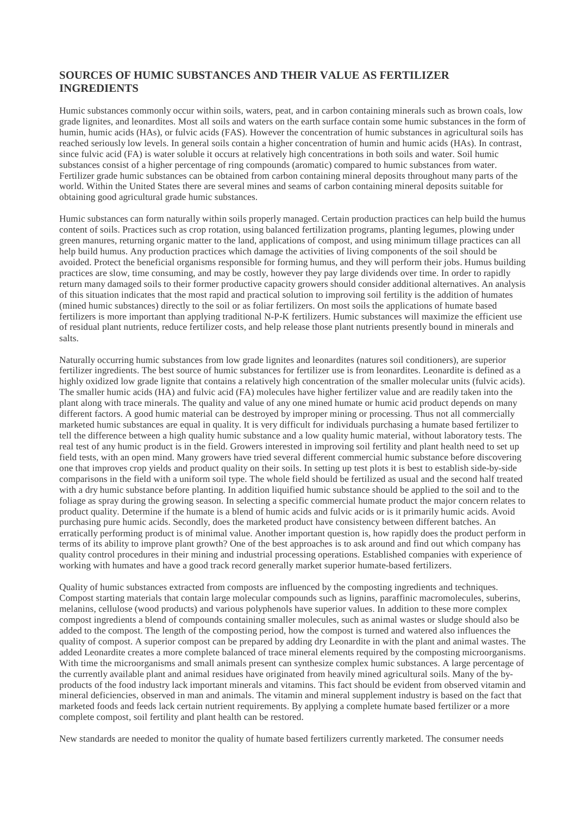#### **SOURCES OF HUMIC SUBSTANCES AND THEIR VALUE AS FERTILIZER INGREDIENTS**

Humic substances commonly occur within soils, waters, peat, and in carbon containing minerals such as brown coals, low grade lignites, and leonardites. Most all soils and waters on the earth surface contain some humic substances in the form of humin, humic acids (HAs), or fulvic acids (FAS). However the concentration of humic substances in agricultural soils has reached seriously low levels. In general soils contain a higher concentration of humin and humic acids (HAs). In contrast, since fulvic acid (FA) is water soluble it occurs at relatively high concentrations in both soils and water. Soil humic substances consist of a higher percentage of ring compounds (aromatic) compared to humic substances from water. Fertilizer grade humic substances can be obtained from carbon containing mineral deposits throughout many parts of the world. Within the United States there are several mines and seams of carbon containing mineral deposits suitable for obtaining good agricultural grade humic substances.

Humic substances can form naturally within soils properly managed. Certain production practices can help build the humus content of soils. Practices such as crop rotation, using balanced fertilization programs, planting legumes, plowing under green manures, returning organic matter to the land, applications of compost, and using minimum tillage practices can all help build humus. Any production practices which damage the activities of living components of the soil should be avoided. Protect the beneficial organisms responsible for forming humus, and they will perform their jobs. Humus building practices are slow, time consuming, and may be costly, however they pay large dividends over time. In order to rapidly return many damaged soils to their former productive capacity growers should consider additional alternatives. An analysis of this situation indicates that the most rapid and practical solution to improving soil fertility is the addition of humates (mined humic substances) directly to the soil or as foliar fertilizers. On most soils the applications of humate based fertilizers is more important than applying traditional N-P-K fertilizers. Humic substances will maximize the efficient use of residual plant nutrients, reduce fertilizer costs, and help release those plant nutrients presently bound in minerals and salts.

Naturally occurring humic substances from low grade lignites and leonardites (natures soil conditioners), are superior fertilizer ingredients. The best source of humic substances for fertilizer use is from leonardites. Leonardite is defined as a highly oxidized low grade lignite that contains a relatively high concentration of the smaller molecular units (fulvic acids). The smaller humic acids (HA) and fulvic acid (FA) molecules have higher fertilizer value and are readily taken into the plant along with trace minerals. The quality and value of any one mined humate or humic acid product depends on many different factors. A good humic material can be destroyed by improper mining or processing. Thus not all commercially marketed humic substances are equal in quality. It is very difficult for individuals purchasing a humate based fertilizer to tell the difference between a high quality humic substance and a low quality humic material, without laboratory tests. The real test of any humic product is in the field. Growers interested in improving soil fertility and plant health need to set up field tests, with an open mind. Many growers have tried several different commercial humic substance before discovering one that improves crop yields and product quality on their soils. In setting up test plots it is best to establish side-by-side comparisons in the field with a uniform soil type. The whole field should be fertilized as usual and the second half treated with a dry humic substance before planting. In addition liquified humic substance should be applied to the soil and to the foliage as spray during the growing season. In selecting a specific commercial humate product the major concern relates to product quality. Determine if the humate is a blend of humic acids and fulvic acids or is it primarily humic acids. Avoid purchasing pure humic acids. Secondly, does the marketed product have consistency between different batches. An erratically performing product is of minimal value. Another important question is, how rapidly does the product perform in terms of its ability to improve plant growth? One of the best approaches is to ask around and find out which company has quality control procedures in their mining and industrial processing operations. Established companies with experience of working with humates and have a good track record generally market superior humate-based fertilizers.

Quality of humic substances extracted from composts are influenced by the composting ingredients and techniques. Compost starting materials that contain large molecular compounds such as lignins, paraffinic macromolecules, suberins, melanins, cellulose (wood products) and various polyphenols have superior values. In addition to these more complex compost ingredients a blend of compounds containing smaller molecules, such as animal wastes or sludge should also be added to the compost. The length of the composting period, how the compost is turned and watered also influences the quality of compost. A superior compost can be prepared by adding dry Leonardite in with the plant and animal wastes. The added Leonardite creates a more complete balanced of trace mineral elements required by the composting microorganisms. With time the microorganisms and small animals present can synthesize complex humic substances. A large percentage of the currently available plant and animal residues have originated from heavily mined agricultural soils. Many of the byproducts of the food industry lack important minerals and vitamins. This fact should be evident from observed vitamin and mineral deficiencies, observed in man and animals. The vitamin and mineral supplement industry is based on the fact that marketed foods and feeds lack certain nutrient requirements. By applying a complete humate based fertilizer or a more complete compost, soil fertility and plant health can be restored.

New standards are needed to monitor the quality of humate based fertilizers currently marketed. The consumer needs